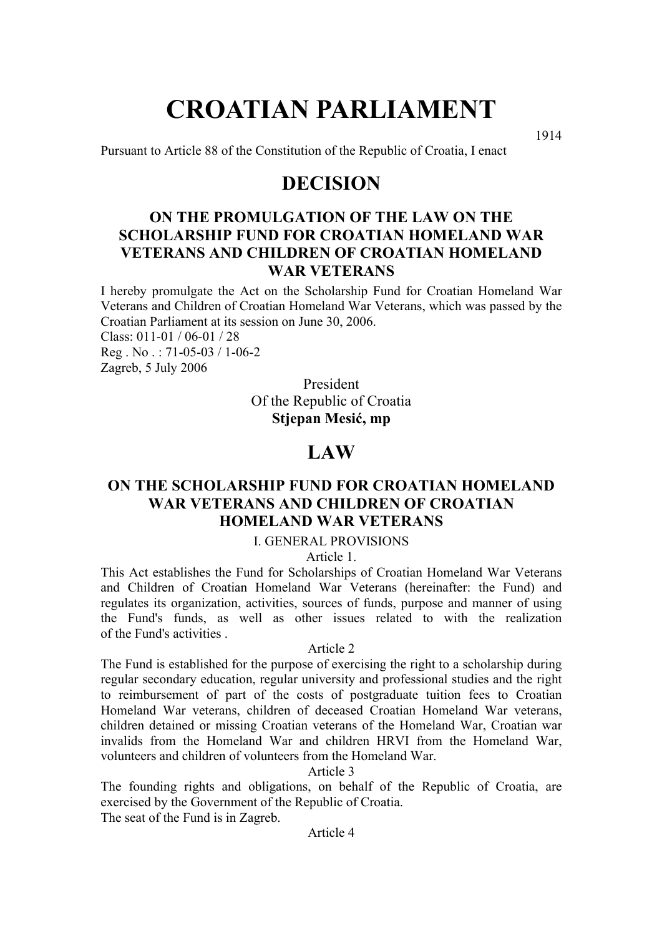# **CROATIAN PARLIAMENT**

Pursuant to Article 88 of the Constitution of the Republic of Croatia, I enact

1914

# **DECISION**

# **ON THE PROMULGATION OF THE LAW ON THE SCHOLARSHIP FUND FOR CROATIAN HOMELAND WAR VETERANS AND CHILDREN OF CROATIAN HOMELAND WAR VETERANS**

I hereby promulgate the Act on the Scholarship Fund for Croatian Homeland War Veterans and Children of Croatian Homeland War Veterans, which was passed by the Croatian Parliament at its session on June 30, 2006.

Class: 011-01 / 06-01 / 28 Reg . No . : 71-05-03 / 1-06-2 Zagreb, 5 July 2006

> President Of the Republic of Croatia **Stjepan Mesić, mp**

# **LAW**

# **ON THE SCHOLARSHIP FUND FOR CROATIAN HOMELAND WAR VETERANS AND CHILDREN OF CROATIAN HOMELAND WAR VETERANS**

# I. GENERAL PROVISIONS

Article 1.

This Act establishes the Fund for Scholarships of Croatian Homeland War Veterans and Children of Croatian Homeland War Veterans (hereinafter: the Fund) and regulates its organization, activities, sources of funds, purpose and manner of using the Fund's funds, as well as other issues related to with the realization of the Fund's activities .

#### Article 2

The Fund is established for the purpose of exercising the right to a scholarship during regular secondary education, regular university and professional studies and the right to reimbursement of part of the costs of postgraduate tuition fees to Croatian Homeland War veterans, children of deceased Croatian Homeland War veterans, children detained or missing Croatian veterans of the Homeland War, Croatian war invalids from the Homeland War and children HRVI from the Homeland War, volunteers and children of volunteers from the Homeland War.

# Article 3

The founding rights and obligations, on behalf of the Republic of Croatia, are exercised by the Government of the Republic of Croatia.

The seat of the Fund is in Zagreb.

Article 4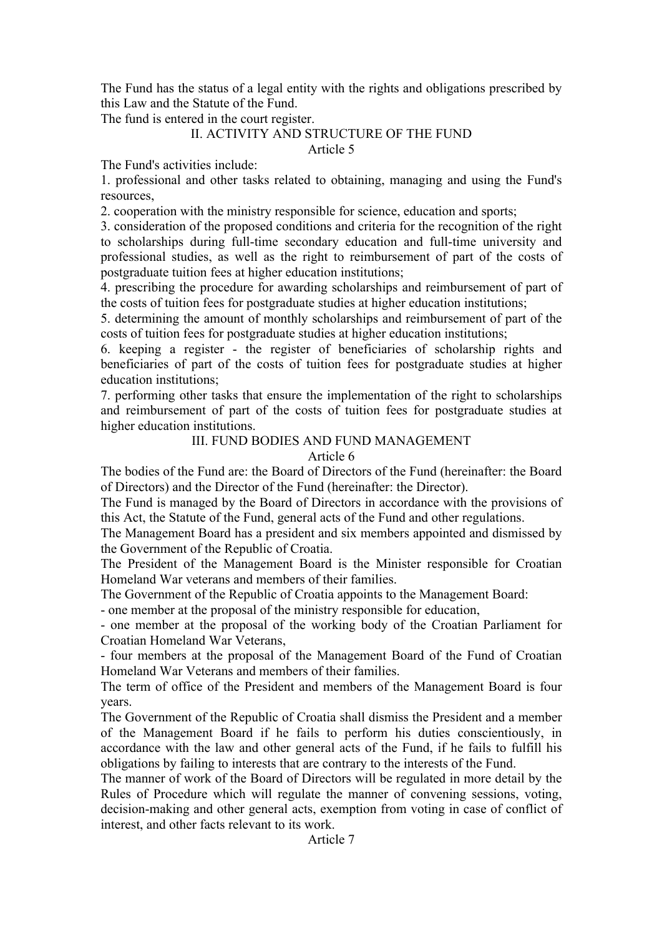The Fund has the status of a legal entity with the rights and obligations prescribed by this Law and the Statute of the Fund.

The fund is entered in the court register.

# II. ACTIVITY AND STRUCTURE OF THE FUND

# Article 5

The Fund's activities include:

1. professional and other tasks related to obtaining, managing and using the Fund's resources,

2. cooperation with the ministry responsible for science, education and sports;

3. consideration of the proposed conditions and criteria for the recognition of the right to scholarships during full-time secondary education and full-time university and professional studies, as well as the right to reimbursement of part of the costs of postgraduate tuition fees at higher education institutions;

4. prescribing the procedure for awarding scholarships and reimbursement of part of the costs of tuition fees for postgraduate studies at higher education institutions;

5. determining the amount of monthly scholarships and reimbursement of part of the costs of tuition fees for postgraduate studies at higher education institutions;

6. keeping a register - the register of beneficiaries of scholarship rights and beneficiaries of part of the costs of tuition fees for postgraduate studies at higher education institutions;

7. performing other tasks that ensure the implementation of the right to scholarships and reimbursement of part of the costs of tuition fees for postgraduate studies at higher education institutions.

# III. FUND BODIES AND FUND MANAGEMENT

# Article 6

The bodies of the Fund are: the Board of Directors of the Fund (hereinafter: the Board of Directors) and the Director of the Fund (hereinafter: the Director).

The Fund is managed by the Board of Directors in accordance with the provisions of this Act, the Statute of the Fund, general acts of the Fund and other regulations.

The Management Board has a president and six members appointed and dismissed by the Government of the Republic of Croatia.

The President of the Management Board is the Minister responsible for Croatian Homeland War veterans and members of their families.

The Government of the Republic of Croatia appoints to the Management Board:

- one member at the proposal of the ministry responsible for education,

- one member at the proposal of the working body of the Croatian Parliament for Croatian Homeland War Veterans,

- four members at the proposal of the Management Board of the Fund of Croatian Homeland War Veterans and members of their families.

The term of office of the President and members of the Management Board is four years.

The Government of the Republic of Croatia shall dismiss the President and a member of the Management Board if he fails to perform his duties conscientiously, in accordance with the law and other general acts of the Fund, if he fails to fulfill his obligations by failing to interests that are contrary to the interests of the Fund.

The manner of work of the Board of Directors will be regulated in more detail by the Rules of Procedure which will regulate the manner of convening sessions, voting, decision-making and other general acts, exemption from voting in case of conflict of interest, and other facts relevant to its work.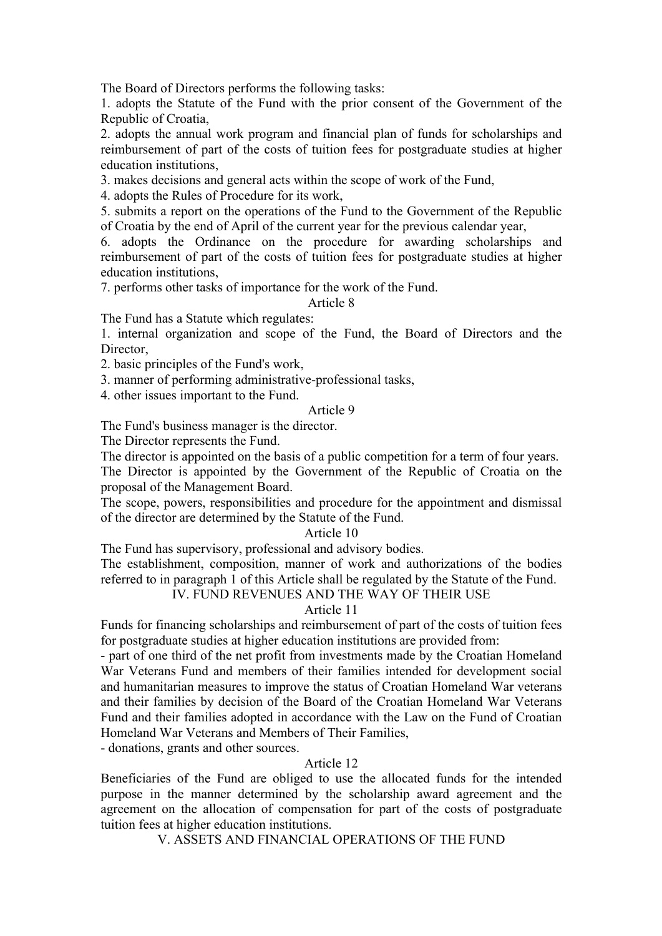The Board of Directors performs the following tasks:

1. adopts the Statute of the Fund with the prior consent of the Government of the Republic of Croatia,

2. adopts the annual work program and financial plan of funds for scholarships and reimbursement of part of the costs of tuition fees for postgraduate studies at higher education institutions,

3. makes decisions and general acts within the scope of work of the Fund,

4. adopts the Rules of Procedure for its work,

5. submits a report on the operations of the Fund to the Government of the Republic of Croatia by the end of April of the current year for the previous calendar year,

6. adopts the Ordinance on the procedure for awarding scholarships and reimbursement of part of the costs of tuition fees for postgraduate studies at higher education institutions,

7. performs other tasks of importance for the work of the Fund.

# Article 8

The Fund has a Statute which regulates:

1. internal organization and scope of the Fund, the Board of Directors and the Director.

2. basic principles of the Fund's work,

3. manner of performing administrative-professional tasks,

4. other issues important to the Fund.

# Article 9

The Fund's business manager is the director.

The Director represents the Fund.

The director is appointed on the basis of a public competition for a term of four years.

The Director is appointed by the Government of the Republic of Croatia on the proposal of the Management Board.

The scope, powers, responsibilities and procedure for the appointment and dismissal of the director are determined by the Statute of the Fund.

# Article 10

The Fund has supervisory, professional and advisory bodies.

The establishment, composition, manner of work and authorizations of the bodies referred to in paragraph 1 of this Article shall be regulated by the Statute of the Fund.

# IV. FUND REVENUES AND THE WAY OF THEIR USE

# Article 11

Funds for financing scholarships and reimbursement of part of the costs of tuition fees for postgraduate studies at higher education institutions are provided from:

- part of one third of the net profit from investments made by the Croatian Homeland War Veterans Fund and members of their families intended for development social and humanitarian measures to improve the status of Croatian Homeland War veterans and their families by decision of the Board of the Croatian Homeland War Veterans Fund and their families adopted in accordance with the Law on the Fund of Croatian Homeland War Veterans and Members of Their Families,

- donations, grants and other sources.

# Article 12

Beneficiaries of the Fund are obliged to use the allocated funds for the intended purpose in the manner determined by the scholarship award agreement and the agreement on the allocation of compensation for part of the costs of postgraduate tuition fees at higher education institutions.

V. ASSETS AND FINANCIAL OPERATIONS OF THE FUND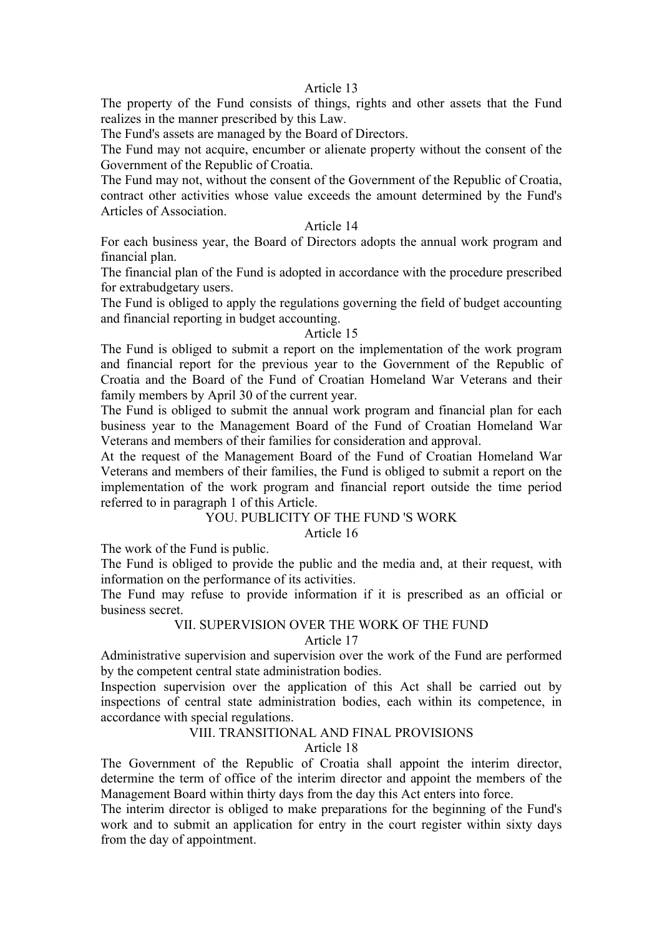# Article 13

The property of the Fund consists of things, rights and other assets that the Fund realizes in the manner prescribed by this Law.

The Fund's assets are managed by the Board of Directors.

The Fund may not acquire, encumber or alienate property without the consent of the Government of the Republic of Croatia.

The Fund may not, without the consent of the Government of the Republic of Croatia, contract other activities whose value exceeds the amount determined by the Fund's Articles of Association.

## Article 14

For each business year, the Board of Directors adopts the annual work program and financial plan.

The financial plan of the Fund is adopted in accordance with the procedure prescribed for extrabudgetary users.

The Fund is obliged to apply the regulations governing the field of budget accounting and financial reporting in budget accounting.

# Article 15

The Fund is obliged to submit a report on the implementation of the work program and financial report for the previous year to the Government of the Republic of Croatia and the Board of the Fund of Croatian Homeland War Veterans and their family members by April 30 of the current year.

The Fund is obliged to submit the annual work program and financial plan for each business year to the Management Board of the Fund of Croatian Homeland War Veterans and members of their families for consideration and approval.

At the request of the Management Board of the Fund of Croatian Homeland War Veterans and members of their families, the Fund is obliged to submit a report on the implementation of the work program and financial report outside the time period referred to in paragraph 1 of this Article.

#### YOU. PUBLICITY OF THE FUND 'S WORK Article 16

The work of the Fund is public.

The Fund is obliged to provide the public and the media and, at their request, with information on the performance of its activities.

The Fund may refuse to provide information if it is prescribed as an official or business secret.

## VII. SUPERVISION OVER THE WORK OF THE FUND

Article 17

Administrative supervision and supervision over the work of the Fund are performed by the competent central state administration bodies.

Inspection supervision over the application of this Act shall be carried out by inspections of central state administration bodies, each within its competence, in accordance with special regulations.

# VIII. TRANSITIONAL AND FINAL PROVISIONS

Article 18

The Government of the Republic of Croatia shall appoint the interim director, determine the term of office of the interim director and appoint the members of the Management Board within thirty days from the day this Act enters into force.

The interim director is obliged to make preparations for the beginning of the Fund's work and to submit an application for entry in the court register within sixty days from the day of appointment.